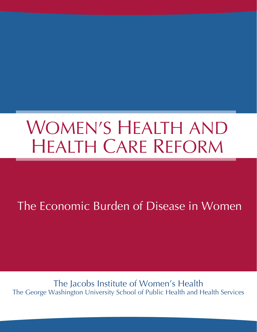# HEALTH CARE REFORM WOMEN'S HEALTH AND

The Economic Burden of Disease in Women

The Jacobs Institute of Women's Health The George Washington University School of Public Health and Health Services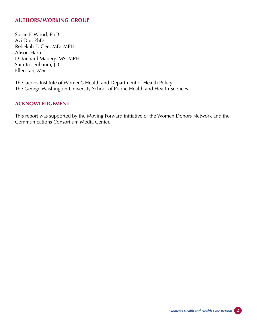# **authors/working group**

Susan F. Wood, PhD Avi Dor, PhD Rebekah E. Gee, MD, MPH Alison Harms D. Richard Mauery, MS, MPH Sara Rosenbaum, JD Ellen Tan, MSc

The Jacobs Institute of Women's Health and Department of Health Policy The George Washington University School of Public Health and Health Services

#### **acknowledgement**

This report was supported by the Moving Forward initiative of the Women Donors Network and the Communications Consortium Media Center.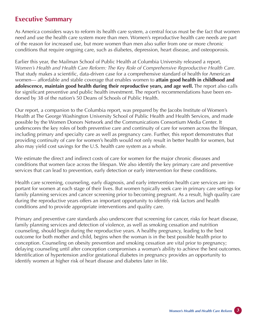# **Executive Summary**

As America considers ways to reform its health care system, a central focus must be the fact that women need and use the health care system more than men. Women's reproductive health care needs are part of the reason for increased use, but more women than men also suffer from one or more chronic conditions that require ongoing care, such as diabetes, depression, heart disease, and osteoporosis.

Earlier this year, the Mailman School of Public Health at Columbia University released a report, *Women's Health and Health Care Reform: The Key Role of Comprehensive Reproductive Health Care.* That study makes a scientific, data-driven case for a comprehensive standard of health for American women— affordable and stable coverage that enables women to **attain good health in childhood and adolescence, maintain good health during their reproductive years, and age well.** The report also calls for significant preventive and public health investment. The report's recommendations have been endorsed by 38 of the nation's 50 Deans of Schools of Public Health.

Our report, a companion to the Columbia report, was prepared by the Jacobs Institute of Women's Health at The George Washington University School of Public Health and Health Services, and made possible by the Women Donors Network and the Communications Consortium Media Center. It underscores the key roles of both preventive care and continuity of care for women across the lifespan, including primary and specialty care as well as pregnancy care. Further, this report demonstrates that providing continuity of care for women's health would not only result in better health for women, but also may yield cost savings for the U.S. health care system as a whole.

We estimate the direct and indirect costs of care for women for the major chronic diseases and conditions that women face across the lifespan. We also identify the key primary care and preventive services that can lead to prevention, early detection or early intervention for these conditions.

Health care screening, counseling, early diagnosis, and early intervention health care services are important for women at each stage of their lives. But women typically seek care in primary care settings for family planning services and cancer screening prior to becoming pregnant. As a result, high quality care during the reproductive years offers an important opportunity to identify risk factors and health conditions and to provide appropriate interventions and quality care.

Primary and preventive care standards also underscore that screening for cancer, risks for heart disease, family planning services and detection of violence, as well as smoking cessation and nutrition counseling, should begin during the reproductive years. A healthy pregnancy, leading to the best outcome for both mother and child, begins when the woman is in the best possible health prior to conception. Counseling on obesity prevention and smoking cessation are vital prior to pregnancy; delaying counseling until after conception compromises a woman's ability to achieve the best outcomes. Identification of hypertension and/or gestational diabetes in pregnancy provides an opportunity to identify women at higher risk of heart disease and diabetes later in life.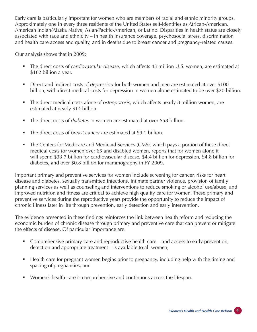Early care is particularly important for women who are members of racial and ethnic minority groups. Approximately one in every three residents of the United States self-identifies as African-American, American Indian/Alaska Native, Asian/Pacific-American, or Latino. Disparities in health status are closely associated with race and ethnicity – in health insurance coverage, psychosocial stress, discrimination and health care access and quality, and in deaths due to breast cancer and pregnancy-related causes.

Our analysis shows that in 2009:

- The direct costs of *cardiovascular disease*, which affects 43 million U.S. women, are estimated at \$162 billion a year.
- Direct and indirect costs of *depression* for both women and men are estimated at over \$100 billion, with direct medical costs for depression in women alone estimated to be over \$20 billion.
- The direct medical costs alone of *osteoporosis*, which affects nearly 8 million women, are estimated at nearly \$14 billion.
- The direct costs of *diabetes* in women are estimated at over \$58 billion.
- The direct costs of *breast cancer* are estimated at \$9.1 billion.
- The Centers for Medicare and Medicaid Services (CMS), which pays a portion of these direct medical costs for women over 65 and disabled women, reports that for women alone it will spend \$33.7 billion for cardiovascular disease, \$4.4 billion for depression, \$4.8 billion for diabetes, and over \$0.8 billion for mammography in FY 2009.

Important primary and preventive services for women include screening for cancer, risks for heart disease and diabetes, sexually transmitted infections, intimate partner violence, provision of family planning services as well as counseling and interventions to reduce smoking or alcohol use/abuse, and improved nutrition and fitness are critical to achieve high quality care for women. These primary and preventive services during the reproductive years provide the opportunity to reduce the impact of chronic illness later in life through prevention, early detection and early intervention.

The evidence presented in these findings reinforces the link between health reform and reducing the economic burden of chronic disease through primary and preventive care that can prevent or mitigate the effects of disease. Of particular importance are:

- Comprehensive primary care and reproductive health care and access to early prevention, detection and appropriate treatment – is available to all women;
- Health care for pregnant women begins prior to pregnancy, including help with the timing and spacing of pregnancies; and
- Women's health care is comprehensive and continuous across the lifespan.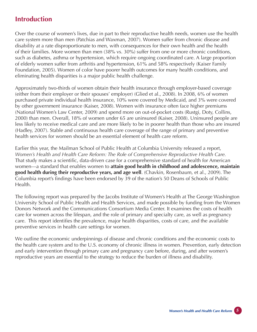# **Introduction**

Over the course of women's lives, due in part to their reproductive health needs, women use the health care system more than men (Patchias and Waxman, 2007). Women suffer from chronic disease and disability at a rate disproportionate to men, with consequences for their own health and the health of their families. More women than men (38% vs. 30%) suffer from one or more chronic conditions, such as diabetes, asthma or hypertension, which require ongoing coordinated care. A large proportion of elderly women suffer from arthritis and hypertension, 61% and 58% respectively (Kaiser Family Foundation, 2005). Women of color have poorer health outcomes for many health conditions, and eliminating health disparities is a major public health challenge.

Approximately two-thirds of women obtain their health insurance through employer-based coverage (either from their employer or their spouses' employer) (Glied et al., 2008). In 2008, 6% of women purchased private individual health insurance, 10% were covered by Medicaid, and 3% were covered by other government insurance (Kaiser, 2008). Women with insurance often face higher premiums (National Women's Law Center, 2009) and spend more on out-of-pocket costs (Rustgi, Doty, Collins, 2000) than men. Overall, 18% of women under 65 are uninsured (Kaiser, 2008). Uninsured people are less likely to receive medical care and are more likely to be in poorer health than those who are insured (Hadley, 2007). Stable and continuous health care coverage of the range of primary and preventive health services for women should be an essential element of health care reform.

Earlier this year, the Mailman School of Public Health at Columbia University released a report, *Women's Health and Health Care Reform: The Role of Comprehensive Reproductive Health Care.* That study makes a scientific, data-driven case for a comprehensive standard of health for American women—a standard that enables women to **attain good health in childhood and adolescence, maintain good health during their reproductive years, and age well**. (Chavkin, Rosenbaum, et al., 2009). The Columbia report's findings have been endorsed by 39 of the nation's 50 Deans of Schools of Public Health.

The following report was prepared by the Jacobs Institute of Women's Health at The George Washington University School of Public Health and Health Services, and made possible by funding from the Women Donors Network and the Communications Consortium Media Center. It examines the costs of health care for women across the lifespan, and the role of primary and specialty care, as well as pregnancy care. This report identifies the prevalence, major health disparities, costs of care, and the available preventive services in health care settings for women.

We outline the economic underpinnings of disease and chronic conditions and the economic costs to the health care system and to the U.S. economy of chronic illness in women. Prevention, early detection and early intervention through primary care and pregnancy care before, during, and after women's reproductive years are essential to the strategy to reduce the burden of illness and disability.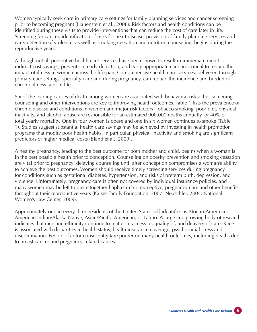Women typically seek care in primary care settings for family planning services and cancer screening prior to becoming pregnant (Hauenstein et al., 2006). Risk factors and health conditions can be identified during these visits to provide interventions that can reduce the cost of care later in life. Screening for cancer, identification of risks for heart disease, provision of family planning services and early detection of violence, as well as smoking cessation and nutrition counseling, begins during the reproductive years.

Although not all preventive health care services have been shown to result in immediate direct or indirect cost savings, prevention, early detection, and early appropriate care are critical to reduce the impact of illness in women across the lifespan. Comprehensive health care services, delivered through primary care settings, specialty care and during pregnancy, can reduce the incidence and burden of chronic illness later in life.

Six of the leading causes of death among women are associated with behavioral risks; thus screening, counseling and other interventions are key to improving health outcomes. Table 1 lists the prevalence of chronic disease and conditions in women and major risk factors. Tobacco smoking, poor diet, physical inactivity, and alcohol abuse are responsible for an estimated 900,000 deaths annually, or 40% of total yearly mortality. One in four women is obese and one in six women continues to smoke (Table 1). Studies suggest substantial health care savings may be achieved by investing in health promotion programs that modify poor health habits. In particular, physical inactivity and smoking are significant predictors of higher medical costs (Bland et al., 2009).

A healthy pregnancy, leading to the best outcome for both mother and child, begins when a woman is in the best possible health prior to conception. Counseling on obesity prevention and smoking cessation are vital prior to pregnancy; delaying counseling until after conception compromises a woman's ability to achieve the best outcomes. Women should receive timely screening services during pregnancy for conditions such as gestational diabetes, hypertension, and risks of preterm birth, depression, and violence. Unfortunately, pregnancy care is often not covered by individual insurance policies, and many women may be left to piece together haphazard contraceptive, pregnancy care and other benefits throughout their reproductive years (Kaiser Family Foundation, 2007; Neuschler, 2004; National Women's Law Center, 2009).

Approximately one in every three residents of the United States self-identifies as African-American, American Indian/Alaska Native, Asian/Pacific-American, or Latino. A large and growing body of research indicates that race and ethnicity continue to matter in access to, quality of, and delivery of care. Race is associated with disparities in health status, health insurance coverage, psychosocial stress and discrimination. People of color consistently fare poorer on many health outcomes, including deaths due to breast cancer and pregnancy-related causes.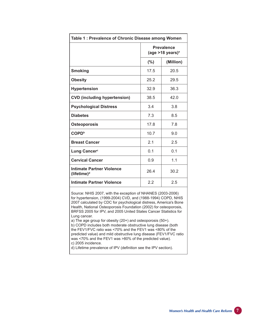| Table 1: Prevalence of Chronic Disease among Women          |                                                     |           |  |  |  |
|-------------------------------------------------------------|-----------------------------------------------------|-----------|--|--|--|
|                                                             | <b>Prevalence</b><br>(age $>18$ years) <sup>a</sup> |           |  |  |  |
|                                                             | $(\%)$                                              | (Million) |  |  |  |
| <b>Smoking</b>                                              | 17.5                                                | 20.5      |  |  |  |
| <b>Obesity</b>                                              | 25.2                                                | 29.5      |  |  |  |
| <b>Hypertension</b>                                         | 32.9                                                | 36.3      |  |  |  |
| <b>CVD (including hypertension)</b>                         | 38.5                                                | 42.0      |  |  |  |
| <b>Psychological Distress</b>                               | 3.4                                                 | 3.8       |  |  |  |
| <b>Diabetes</b>                                             | 7.3                                                 | 8.5       |  |  |  |
| <b>Osteoporosis</b>                                         | 17.8                                                | 7.8       |  |  |  |
| <b>COPD</b> <sup>b</sup>                                    | 10.7                                                | 9.0       |  |  |  |
| <b>Breast Cancer</b>                                        | 2.1                                                 | 2.5       |  |  |  |
| Lung Cancer <sup>c</sup>                                    | 0.1                                                 | 0.1       |  |  |  |
| <b>Cervical Cancer</b>                                      | 0.9                                                 | 1.1       |  |  |  |
| <b>Intimate Partner Violence</b><br>(lifetime) <sup>d</sup> | 26.4                                                | 30.2      |  |  |  |
| <b>Intimate Partner Violence</b>                            | 2.2                                                 | 2.5       |  |  |  |
|                                                             |                                                     |           |  |  |  |

Source: NHIS 2007, with the exception of NHANES (2003-2006) for hypertension, (1999-2004) CVD, and (1988-1994) COPD, NHIS 2007 calculated by CDC for psychological distress, America's Bone Health, National Osteoporosis Foundation (2002) for osteoporosis, BRFSS 2005 for IPV, and 2005 United States Cancer Statistics for Lung cancer.

a) The age group for obesity (20+) and osteoporosis (50+). b) COPD includes both moderate obstructive lung disease (both the FEV1/FVC ratio was <70% and the FEV1 was <80% of the predicted value) and mild obstructive lung disease (FEV1/FVC ratio was <70% and the FEV1 was >80% of the predicted value). c) 2005 incidence.

d) Lifetime prevalence of IPV (definition see the IPV section).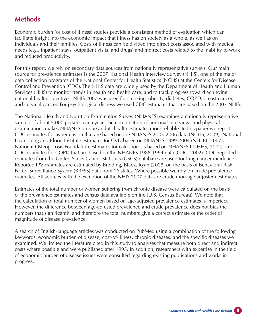# **Methods**

Economic burden (or cost of illness) studies provide a consistent method of evaluation which can facilitate insight into the economic impact that illness has on society as a whole, as well as on individuals and their families. Costs of illness can be divided into direct costs associated with medical needs (e.g., inpatient stays, outpatient visits, and drugs) and indirect costs related to the inability to work and reduced productivity.

For this report, we rely on secondary data sources from nationally representative surveys. Our main source for prevalence estimates is the 2007 National Health Interview Survey (NHIS), one of the major data collection programs of the National Center for Health Statistics (NCHS) at the Centers for Disease Control and Prevention (CDC). The NHIS data are widely used by the Department of Health and Human Services (HHS) to monitor trends in health and health care, and to track progress toward achieving national health objectives. NHIS 2007 was used for smoking, obesity, diabetes, COPD, breast cancer, and cervical cancer. For psychological distress we used CDC estimates that are based on the 2007 NHIS.

The National Health and Nutrition Examination Survey (NHANES) examines a nationally representative sample of about 5,000 persons each year. The combination of personal interviews and physical examinations makes NHANES unique and its health estimates more reliable. In this paper we report CDC estimates for hypertension that are based on the NHANES 2003-2006 data (NCHS, 2009); National Heart Lung and Blood Institute estimates for CVD based on NHANES 1999-2004 (NHLBI, 2007); National Osteoporosis Foundation estimates for osteoporosis based on NHANES III (HHS, 2004); and CDC estimates for COPD that are based on the NHANES 1988-1994 data (CDC, 2002). CDC reported estimates from the United States Cancer Statistics (USCS) database are used for lung cancer incidence. Reported IPV estimates are estimated by Breiding, Black, Ryan (2008) on the basis of Behavioral Risk Factor Surveillance System (BRFSS) data from 16 states. Where possible we rely on crude prevalence estimates. All sources with the exception of the NHIS 2007 data are crude (non-age adjusted) estimates.

Estimates of the total number of women suffering from chronic disease were calculated on the basis of the prevalence estimates and census data available online (U.S. Census Bureau). We note that the calculation of total number of women based on age-adjusted prevalence estimates is imperfect. However, the difference between age-adjusted prevalence and crude prevalence does not bias the numbers that significantly and therefore the total numbers give a correct estimate of the order of magnitude of disease prevalence.

A search of English-language articles was conducted on PubMed using a combination of the following keywords: economic burden of disease, cost-of-illness, chronic diseases, and the specific diseases we examined. We limited the literature cited in this study to analyses that measure both direct and indirect costs where possible and were published after 1995. In addition, researchers with expertise in the field of economic burden of disease issues were consulted regarding existing publications and works in progress.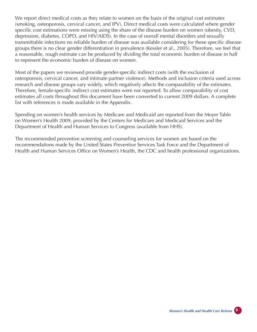We report direct medical costs as they relate to women on the basis of the original cost estimates (smoking, osteoporosis, cervical cancer, and IPV). Direct medical costs were calculated where gender specific cost estimations were missing using the share of the disease burden on women (obesity, CVD, depression, diabetes, COPD, and HIV/AIDS). In the case of overall mental disorders and sexually transmittable infections no reliable burden of disease was available considering for these specific disease groups there is no clear gender differentiation in prevalence (Kessler et al., 2005). Therefore, we feel that a reasonable, rough estimate can be produced by dividing the total economic burden of disease in half to represent the economic burden of disease on women.

Most of the papers we reviewed provide gender-specific indirect costs (with the exclusion of osteoporosis, cervical cancer, and intimate partner violence). Methods and inclusion criteria used across research and disease groups vary widely, which negatively affects the comparability of the estimates. Therefore, female-specific indirect cost estimates were not reported. To allow comparability of cost estimates all costs throughout this document have been converted to current 2009 dollars. A complete list with references is made available in the Appendix.

Spending on women's health services by Medicare and Medicaid are reported from the Moyer Table on Women's Health 2009, provided by the Centers for Medicare and Medicaid Services and the Department of Health and Human Services to Congress (available from HHS).

The recommended preventive screening and counseling services for women are based on the recommendations made by the United States Preventive Services Task Force and the Department of Health and Human Services Office on Women's Health, the CDC and health professional organizations.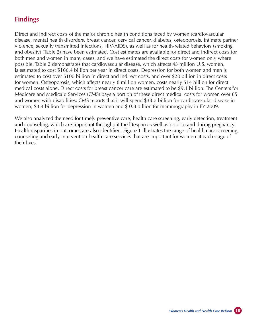# **Findings**

Direct and indirect costs of the major chronic health conditions faced by women (cardiovascular disease, mental health disorders, breast cancer, cervical cancer, diabetes, osteoporosis, intimate partner violence, sexually transmitted infections, HIV/AIDS), as well as for health-related behaviors (smoking and obesity) (Table 2) have been estimated. Cost estimates are available for direct and indirect costs for both men and women in many cases, and we have estimated the direct costs for women only where possible. Table 2 demonstrates that cardiovascular disease, which affects 43 million U.S. women, is estimated to cost \$166.4 billion per year in direct costs. Depression for both women and men is estimated to cost over \$100 billion in direct and indirect costs, and over \$20 billion in direct costs for women. Osteoporosis, which affects nearly 8 million women, costs nearly \$14 billion for direct medical costs alone. Direct costs for breast cancer care are estimated to be \$9.1 billion. The Centers for Medicare and Medicaid Services (CMS) pays a portion of these direct medical costs for women over 65 and women with disabilities; CMS reports that it will spend \$33.7 billion for cardiovascular disease in women, \$4.4 billion for depression in women and \$ 0.8 billion for mammography in FY 2009.

We also analyzed the need for timely preventive care, health care screening, early detection, treatment and counseling, which are important throughout the lifespan as well as prior to and during pregnancy. Health disparities in outcomes are also identified. Figure 1 illustrates the range of health care screening, counseling and early intervention health care services that are important for women at each stage of their lives.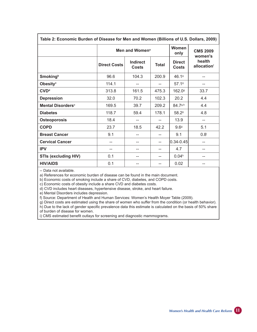| Table 2: Economic Burgen of Disease for Men and Women (Billions of U.S. Dollars, 2009) |                            |                                 |              |                               |                            |  |  |
|----------------------------------------------------------------------------------------|----------------------------|---------------------------------|--------------|-------------------------------|----------------------------|--|--|
|                                                                                        | Men and Women <sup>a</sup> |                                 |              | Women<br>only                 | <b>CMS 2009</b><br>women's |  |  |
|                                                                                        | <b>Direct Costs</b>        | <b>Indirect</b><br><b>Costs</b> | <b>Total</b> | <b>Direct</b><br><b>Costs</b> | health<br>allocationf      |  |  |
| <b>Smoking</b> <sup>b</sup>                                                            | 96.6                       | 104.3                           | 200.9        | 46.19                         | --                         |  |  |
| Obesity <sup>c</sup>                                                                   | 114.1                      | --                              | --           | 57.19                         |                            |  |  |
| CVD <sup>d</sup>                                                                       | 313.8                      | 161.5                           | 475.3        | 162.0 <sup>g</sup>            | 33.7                       |  |  |
| <b>Depression</b>                                                                      | 32.0                       | 70.2                            | 102.3        | 20.2                          | 4.4                        |  |  |
| <b>Mental Disorders<sup>e</sup></b>                                                    | 169.5                      | 39.7                            | 209.2        | 84.7 <sup>g,h</sup>           | 4.4                        |  |  |
| <b>Diabetes</b>                                                                        | 118.7                      | 59.4                            | 178.1        | 58.29                         | 4.8                        |  |  |
| <b>Osteoporosis</b>                                                                    | 18.4                       |                                 |              | 13.9                          |                            |  |  |
| <b>COPD</b>                                                                            | 23.7                       | 18.5                            | 42.2         | 9.6 <sup>9</sup>              | 5.1                        |  |  |
| <b>Breast Cancer</b>                                                                   | 9.1                        | --                              | --           | 9.1                           | 0.8 <sup>i</sup>           |  |  |
| <b>Cervical Cancer</b>                                                                 | --                         | --                              | --           | $0.34 - 0.45$                 | --                         |  |  |
| <b>IPV</b>                                                                             | --                         |                                 | --           | 4.7                           |                            |  |  |
| <b>STIs (excluding HIV)</b>                                                            | 0.1                        |                                 | --           | 0.04 <sup>h</sup>             |                            |  |  |
| <b>HIV/AIDS</b>                                                                        | 0.1                        |                                 |              | 0.02                          |                            |  |  |

**Table 2: Economic Burden of Disease for Men and Women (Billions of U.S. Dollars, 2009)**

-- Data not available.

a) References for economic burden of disease can be found in the main document.

b) Economic costs of smoking include a share of CVD, diabetes, and COPD costs.

c) Economic costs of obesity include a share CVD and diabetes costs.

d) CVD includes heart diseases, hypertensive disease, stroke, and heart failure.

e) Mental Disorders includes depression.

f) Source: Department of Health and Human Services: Women's Health Moyer Table (2009).

g) Direct costs are estimated using the share of women who suffer from the condition (or health behavior). h) Due to the lack of gender specific prevalence data this estimate is calculated on the basis of 50% share

of burden of disease for women.

i) CMS estimated benefit outlays for screening and diagnostic mammograms.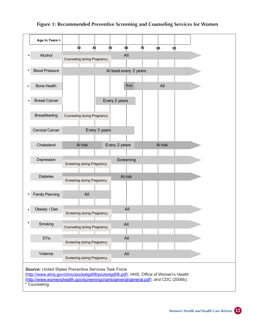#### **Figure 1: Recommended Preventive Screening and Counseling Services for Women**

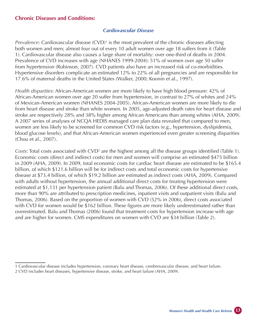# **Chronic Diseases and Conditions:**

#### *Cardiovascular Disease*

*Prevalence*: Cardiovascular disease (CVD)<sup>1</sup> is the most prevalent of the chronic diseases affecting both women and men; almost four out of every 10 adult women over age 18 suffers from it (Table 1). Cardiovascular disease also causes a large share of mortality: over one-third of deaths in 2004. Prevalence of CVD increases with age (NHANES 1999-2004): 51% of women over age 50 suffer from hypertension (Robinson, 2007). CVD patients also have an increased risk of co-morbidities. Hypertensive disorders complicate an estimated 12% to 22% of all pregnancies and are responsible for 17.6% of maternal deaths in the United States (Walker, 2000; Koonin et al., 1997).

*Health disparities*: African-American women are more likely to have high blood pressure: 42% of African-American women over age 20 suffer from hypertension, in contrast to 27% of whites and 24% of Mexican-American women (NHANES 2004-2005). African-American women are more likely to die from heart disease and stroke than white women. In 2005, age-adjusted death rates for heart disease and stroke are respectively 28% and 38% higher among African Americans than among whites (AHA, 2009). A 2007 series of analyses of NCQA HEDIS managed care plan data revealed that compared to men, women are less likely to be screened for common CVD risk factors (e.g., hypertension, dyslipidemia, blood glucose levels), and that African-American women experienced even greater screening disparities (Chou et al., 2007).

*Costs*: Total costs associated with CVD<sup>2</sup> are the highest among all the disease groups identified (Table 1). Economic costs (direct and indirect costs) for men and women will comprise an estimated \$475 billion in 2009 (AHA, 2009). In 2009, total economic costs for cardiac heart disease are estimated to be \$165.4 billion, of which \$121.6 billion will be for indirect costs and total economic costs for hypertensive disease at \$73.4 billion, of which \$19.2 billion are estimated as indirect costs (AHA, 2009). Compared with adults without hypertension, the annual additional direct costs for treating hypertension were estimated at \$1,131 per hypertension patient (Balu and Thomas, 2006). Of these additional direct costs, more than 90% are attributed to prescription medicines, inpatient visits and outpatient visits (Balu and Thomas, 2006). Based on the proportion of women with CVD (52% in 2006), direct costs associated with CVD for women would be \$162 billion. These figures are more likely underestimated rather than overestimated. Balu and Thomas (2006) found that treatment costs for hypertension increase with age and are higher for women. CMS expenditures on women with CVD are \$34 billion (Table 2).

<sup>1</sup> Cardiovascular disease includes hypertension, coronary heart disease, cerebrovascular disease, and heart failure.

<sup>2</sup> CVD includes heart diseases, hypertensive disease, stroke, and heart failure (AHA, 2009).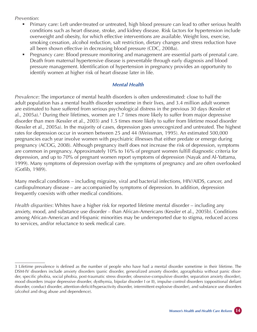#### *Prevention*:

- **Primary care: Left under-treated or untreated, high blood pressure can lead to other serious health** conditions such as heart disease, stroke, and kidney disease. Risk factors for hypertension include overweight and obesity, for which effective interventions are available. Weight loss, exercise, smoking cessation, alcohol reduction, salt restriction, dietary changes and stress reduction have all been shown effective in decreasing blood pressure (CDC, 2008a).
- Pregnancy care: Blood pressure monitoring and management are essential parts of prenatal care. Death from maternal hypertensive disease is preventable through early diagnosis and blood pressure management. Identification of hypertension in pregnancy provides an opportunity to identify women at higher risk of heart disease later in life.

# *Mental Health*

*Prevalence*: The importance of mental health disorders is often underestimated: close to half the adult population has a mental health disorder sometime in their lives, and 3.4 million adult women are estimated to have suffered from serious psychological distress in the previous 30 days (Kessler et al., 2005a).<sup>3</sup> During their lifetimes, women are 1.7 times more likely to suffer from major depressive disorder than men (Kessler et al., 2003) and 1.5 times more likely to suffer from lifetime mood disorder (Kessler et al., 2005a). In the majority of cases, depression goes unrecognized and untreated. The highest rates for depression occur in women between 25 and 44 (Weissman, 1995). An estimated 500,000 pregnancies each year involve women with psychiatric illnesses that either predate or emerge during pregnancy (ACOG, 2008). Although pregnancy itself does not increase the risk of depression, symptoms are common in pregnancy. Approximately 10% to 16% of pregnant women fulfill diagnostic criteria for depression, and up to 70% of pregnant women report symptoms of depression (Nayak and Al-Yattama, 1999). Many symptoms of depression overlap with the symptoms of pregnancy and are often overlooked (Gotlib, 1989).

Many medical conditions – including migraine, viral and bacterial infections, HIV/AIDS, cancer, and cardiopulmonary disease – are accompanied by symptoms of depression. In addition, depression frequently coexists with other medical conditions.

*Health disparities*: Whites have a higher risk for reported lifetime mental disorder – including any anxiety, mood, and substance use disorder – than African-Americans (Kessler et al., 2005b). Conditions among African-American and Hispanic minorities may be underreported due to stigma, reduced access to services, and/or reluctance to seek medical care.

<sup>3</sup> Lifetime prevalence is defined as the number of people who have had a mental disorder sometime in their lifetime. The DSM-IV disorders include anxiety disorders (panic disorder, generalized anxiety disorder, agoraphobia without panic disorder, specific phobia, social phobia, post-traumatic stress disorder, obsessive-compulsive disorder, separation anxiety disorder), mood disorders (major depressive disorder, dysthymia, bipolar disorder I or II), impulse control disorders (oppositional defiant disorder, conduct disorder, attention-deficit/hyperactivity disorder, intermittent explosive disorder), and substance use disorders (alcohol and drug abuse and dependence).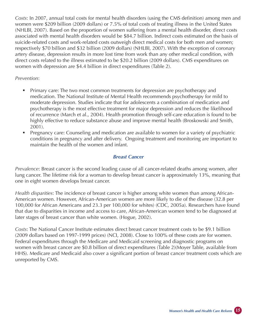*Costs*: In 2007, annual total costs for mental health disorders (using the CMS definition) among men and women were \$209 billion (2009 dollars) or 7.5% of total costs of treating illness in the United States (NHLBI, 2007). Based on the proportion of women suffering from a mental health disorder, direct costs associated with mental health disorders would be \$84.7 billion. Indirect costs estimated on the basis of suicide-related costs and work-related costs outweigh direct medical costs for both men and women; respectively \$70 billion and \$32 billion (2009 dollars) (NHLBI, 2007). With the exception of coronary artery disease, depression results in more lost time from work than any other medical condition, with direct costs related to the illness estimated to be \$20.2 billion (2009 dollars). CMS expenditures on women with depression are \$4.4 billion in direct expenditures (Table 2).

# *Prevention*:

- **Primary care: The two most common treatments for depression are psychotherapy and** medication. The National Institute of Mental Health recommends psychotherapy for mild to moderate depression. Studies indicate that for adolescents a combination of medication and psychotherapy is the most effective treatment for major depression and reduces the likelihood of recurrence (March et al., 2004). Health promotion through self-care education is found to be highly effective to reduce substance abuse and improve mental health (Broskowski and Smith, 2001).
- Pregnancy care: Counseling and medication are available to women for a variety of psychiatric conditions in pregnancy and after delivery. Ongoing treatment and monitoring are important to maintain the health of the women and infant.

# *Breast Cancer*

*Prevalence*: Breast cancer is the second leading cause of all cancer-related deaths among women, after lung cancer. The lifetime risk for a woman to develop breast cancer is approximately 13%, meaning that one in eight women develops breast cancer.

*Health disparities*: The incidence of breast cancer is higher among white women than among African-American women. However, African-American women are more likely to die of the disease (32.8 per 100,000 for African Americans and 23.3 per 100,000 for whites) (CDC, 2005a). Researchers have found that due to disparities in income and access to care, African-American women tend to be diagnosed at later stages of breast cancer than white women. (Hogue, 2002).

*Costs*: The National Cancer Institute estimates direct breast cancer treatment costs to be \$9.1 billion (2009 dollars based on 1997-1999 prices) (NCI, 2008). Close to 100% of these costs are for women. Federal expenditures through the Medicare and Medicaid screening and diagnostic programs on women with breast cancer are \$0.8 billion of direct expenditures (Table 2)(Moyer Table, available from HHS). Medicare and Medicaid also cover a significant portion of breast cancer treatment costs which are unreported by CMS.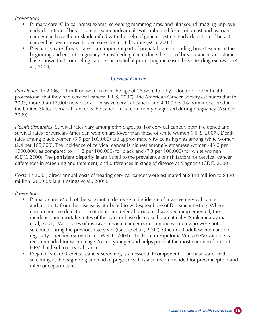*Prevention*:

- **Primary care: Clinical breast exams, screening mammograms, and ultrasound imaging improve** early detection of breast cancer. Some individuals with inherited forms of breast and ovarian cancer can have their risk identified with the help of genetic testing. Early detection of breast cancer has been shown to decrease the mortality rate (ACS, 2003).
- Pregnancy care: Breast care is an important part of prenatal care, including breast exams at the beginning and end of pregnancy. Breastfeeding can reduce the risk of breast cancer, and studies have shown that counseling can be successful at promoting increased breastfeeding (Schwarz et al., 2009).

# *Cervical Cancer*

*Prevalence*: In 2006, 1.4 million women over the age of 18 were told by a doctor or other health professional that they had cervical cancer (HHS, 2007). The American Cancer Society estimates that in 2003, more than 13,000 new cases of invasive cervical cancer and 4,100 deaths from it occurred in the United States. Cervical cancer is the cancer most commonly diagnosed during pregnancy (ASCCP, 2009).

*Health disparities*: Survival rates vary among ethnic groups. For cervical cancer, both incidence and survival rates for African-American women are lower than those of white women (HHS, 2007). Death rates among black women (5.9 per 100,000) are approximately twice as high as among white women (2.4 per 100,000). The incidence of cervical cancer is highest among Vietnamese women (43.0 per 1000,000) as compared to (11.2 per 100,000) for black and (7.3 per 100,000) for white women (CDC, 2000). The persistent disparity is attributed to the prevalence of risk factors for cervical cancer, differences in screening and treatment, and differences in stage of disease at diagnosis (CDC, 2000).

*Costs*: In 2003, direct annual costs of treating cervical cancer were estimated at \$340 million to \$450 million (2009 dollars) (Insinga et al., 2005).

## *Prevention*:

- Primary care: Much of the substantial decrease in incidence of invasive cervical cancer and mortality from the disease is attributed to widespread use of Pap smear testing. Where comprehensive detection, treatment, and referral programs have been implemented, the incidence and mortality rates of this cancer have decreased dramatically (Sankaranarayanan et al, 2001). Most cases of invasive cervical cancer occur among women who were not screened during the previous five years (Grosse et al., 2007). One in 10 adult women are not regularly screened (Sirovich and Welch, 2004). The Human Papilloma Virus (HPV) vaccine is recommended for women age 26 and younger and helps prevent the most common forms of HPV that lead to cervical cancer.
- Pregnancy care: Cervical cancer screening is an essential component of prenatal care, with screening at the beginning and end of pregnancy. It is also recommended for preconception and interconception care.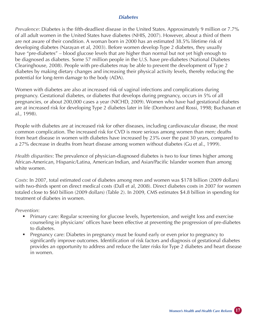#### *Diabetes*

*Prevalence*: Diabetes is the fifth-deadliest disease in the United States. Approximately 9 million or 7.7% of all adult women in the United States have diabetes (NHIS, 2007). However, about a third of them are not aware of their condition. A woman born in 2000 has an estimated 38.5% lifetime risk of developing diabetes (Narayan et al, 2003). Before women develop Type 2 diabetes, they usually have "pre-diabetes" – blood glucose levels that are higher than normal but not yet high enough to be diagnosed as diabetes. Some 57 million people in the U.S. have pre-diabetes (National Diabetes Clearinghouse, 2008). People with pre-diabetes may be able to prevent the development of Type 2 diabetes by making dietary changes and increasing their physical activity levels, thereby reducing the potential for long-term damage to the body (ADA).

Women with diabetes are also at increased risk of vaginal infections and complications during pregnancy. Gestational diabetes, or diabetes that develops during pregnancy, occurs in 5% of all pregnancies, or about 200,000 cases a year (NICHD, 2009). Women who have had gestational diabetes are at increased risk for developing Type 2 diabetes later in life (Dornhorst and Rossi, 1998; Buchanan et al., 1998).

People with diabetes are at increased risk for other diseases, including cardiovascular disease, the most common complication. The increased risk for CVD is more serious among women than men; deaths from heart disease in women with diabetes have increased by 23% over the past 30 years, compared to a 27% decrease in deaths from heart disease among women without diabetes (Gu et al., 1999).

*Health disparities*: The prevalence of physician-diagnosed diabetes is two to four times higher among African-American, Hispanic/Latina, American Indian, and Asian/Pacific Islander women than among white women.

*Costs*: In 2007, total estimated cost of diabetes among men and women was \$178 billion (2009 dollars) with two-thirds spent on direct medical costs (Dall et al, 2008). Direct diabetes costs in 2007 for women totaled close to \$60 billion (2009 dollars) (Table 2). In 2009, CMS estimates \$4.8 billion in spending for treatment of diabetes in women.

#### *Prevention*:

- Primary care: Regular screening for glucose levels, hypertension, and weight loss and exercise counseling in physicians' offices have been effective at preventing the progression of pre-diabetes to diabetes.
- **Pregnancy care: Diabetes in pregnancy must be found early or even prior to pregnancy to** significantly improve outcomes. Identification of risk factors and diagnosis of gestational diabetes provides an opportunity to address and reduce the later risks for Type 2 diabetes and heart disease in women.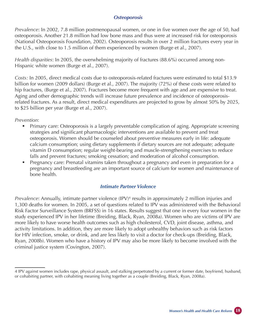#### *Osteoporosis*

*Prevalence*: In 2002, 7.8 million postmenopausal women, or one in five women over the age of 50, had osteoporosis. Another 21.8 million had low bone mass and thus were at increased risk for osteoporosis (National Osteoporosis Foundation, 2002). Osteoporosis results in over 2 million fractures every year in the U.S., with close to 1.5 million of them experienced by women (Burge et al., 2007).

*Health disparities*: In 2005, the overwhelming majority of fractures (88.6%) occurred among non-Hispanic white women (Burge et al., 2007).

*Costs:* In 2005, direct medical costs due to osteoporosis-related fractures were estimated to total \$13.9 billion for women (2009 dollars) (Burge et al., 2007). The majority (72%) of these costs were related to hip fractures, (Burge et al., 2007). Fractures become more frequent with age and are expensive to treat. Aging and other demographic trends will increase future prevalence and incidence of osteoporosisrelated fractures. As a result, direct medical expenditures are projected to grow by almost 50% by 2025, to \$25 billion per year (Burge et al., 2007).

*Prevention*:

- Primary care: Osteoporosis is a largely preventable complication of aging. Appropriate screening strategies and significant pharmacologic interventions are available to prevent and treat osteoporosis. Women should be counseled about preventive measures early in life: adequate calcium consumption; using dietary supplements if dietary sources are not adequate; adequate vitamin D consumption; regular weight-bearing and muscle-strengthening exercises to reduce falls and prevent fractures; smoking cessation; and moderation of alcohol consumption.
- Pregnancy care: Prenatal vitamins taken throughout a pregnancy and even in preparation for a pregnancy and breastfeeding are an important source of calcium for women and maintenance of bone health.

## *Intimate Partner Violence*

Prevalence: Annually, intimate partner violence (IPV)<sup>4</sup> results in approximately 2 million injuries and 1,300 deaths for women. In 2005, a set of questions related to IPV was administered with the Behavioral Risk Factor Surveillance System (BRFSS) in 16 states. Results suggest that one in every four women in the study experienced IPV in her lifetime (Breiding, Black, Ryan, 2008a). Women who are victims of IPV are more likely to have worse health outcomes such as high cholesterol, CVD, joint disease, asthma, and activity limitations. In addition, they are more likely to adopt unhealthy behaviors such as risk factors for HIV infection, smoke, or drink, and are less likely to visit a doctor for check-ups (Breiding, Black, Ryan, 2008b). Women who have a history of IPV may also be more likely to become involved with the criminal justice system (Covington, 2007).

<sup>4</sup> IPV against women includes rape, physical assault, and stalking perpetrated by a current or former date, boyfriend, husband, or cohabiting partner, with cohabiting meaning living together as a couple (Breiding, Black, Ryan, 2008a).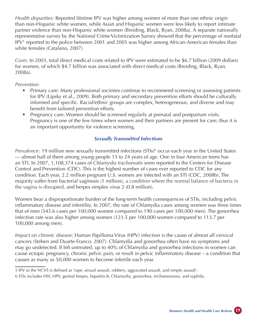*Health disparities*: Reported lifetime IPV was higher among women of more than one ethnic origin than non-Hispanic white women, while Asian and Hispanic women were less likely to report intimate partner violence than non-Hispanic white women (Breiding, Black, Ryan, 2008a). A separate nationally representative survey by the National Crime Victimization Survey showed that the percentage of nonfatal IPV<sup>5</sup> reported to the police between 2001 and 2005 was higher among African-American females than white females (Catalano, 2007).

*Costs*: In 2003, total direct medical costs related to IPV were estimated to be \$6.7 billion (2009 dollars) for women, of which \$4.7 billion was associated with direct medical costs (Breiding, Black, Ryan, 2008a).

## *Prevention*:

- Primary care: Many professional societies continue to recommend screening or assessing patients for IPV (Lipsky et al., 2009). Both primary and secondary prevention efforts should be culturally informed and specific. Racial/ethnic groups are complex, heterogeneous, and diverse and may benefit from tailored prevention efforts.
- **Pregnancy care: Women should be screened regularly at prenatal and postpartum visits.** Pregnancy is one of the few times when women and their partners are present for care; thus it is an important opportunity for violence screening.

# *Sexually Transmitted Infections*

*Prevalence:* 19 million new sexually transmitted infections (STIs)<sup>6</sup> occur each year in the United States — almost half of them among young people 15 to 24 years of age. One in four American teens has an STI. In 2007, 1,108,374 cases of *Chlamydia trachomatis* were reported to the Centers for Disease Control and Prevention (CDC). This is the highest number of cases ever reported to CDC for any condition. Each year, 2.2 million pregnant U.S. women are infected with an STI (CDC, 2008b). The majority suffer from bacterial vaginosis (1 million), a condition where the normal balance of bacteria in the vagina is disrupted, and herpes simplex virus 2 (0.8 million).

Women bear a disproportionate burden of the long-term health consequences of STIs, including pelvic inflammatory disease and infertility. In 2007, the rate of Chlamydia cases among women was three times that of men (543.6 cases per 100,000 women compared to 190 cases per 100,000 men). The gonorrhea infection rate was also higher among women (123.5 per 100,000 women compared to 113.7 per 100,000 among men).

*Impact on chronic disease*: Human Papilloma Virus (HPV) infection is the cause of almost all cervical cancers (Steben and Duarte-Franco, 2007). Chlamydia and gonorrhea often have no symptoms and may go undetected. If left untreated, up to 40% of Chlamydia and gonorrhea infections in women can cause ectopic pregnancy, chronic pelvic pain, or result in pelvic inflammatory disease – a condition that causes as many as 50,000 women to become infertile each year.

<sup>5</sup> IPV in the NCVS is defined as 'rape, sexual assault, robbery, aggravated assault, and simple assault'.

<sup>6</sup> STIs includes HIV, HPV, genital herpes, hepatitis B, Chlamydia, gonorrhea, trichomoniasis, and syphilis.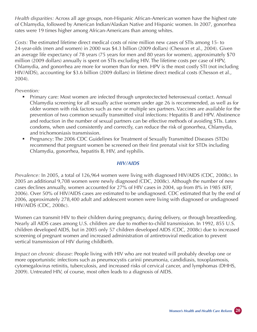*Health disparities:* Across all age groups, non-Hispanic African-American women have the highest rate of Chlamydia, followed by American Indian/Alaskan Native and Hispanic women. In 2007, gonorrhea rates were 19 times higher among African-Americans than among whites.

*Costs:* The estimated lifetime direct medical costs of nine million new cases of STIs among 15- to 24-year-olds (men and women) in 2000 was \$4.3 billion (2009 dollars) (Chesson et al., 2004). Given an average life expectancy of 78 years (75 years for men and 80 years for women), approximately \$70 million (2009 dollars) annually is spent on STIs excluding HIV. The lifetime costs per case of HPV, Chlamydia, and gonorrhea are more for women than for men. HPV is the most costly STI (not including HIV/AIDS), accounting for \$3.6 billion (2009 dollars) in lifetime direct medical costs (Chesson et al., 2004).

#### *Prevention:*

- **Primary care: Most women are infected through unprotectected heterosexual contact. Annual** Chlamydia screening for all sexually active women under age 26 is recommended, as well as for older women with risk factors such as new or multiple sex partners. Vaccines are available for the prevention of two common sexually transmitted viral infections: Hepatitis B and HPV. Abstinence and reduction in the number of sexual partners can be effective methods of avoiding STIs. Latex condoms, when used consistently and correctly, can reduce the risk of gonorrhea, Chlamydia, and trichomoniasis transmission.
- Pregnancy: The 2006 CDC Guidelines for Treatment of Sexually Transmitted Diseases (STDs) recommend that pregnant women be screened on their first prenatal visit for STDs including Chlamydia, gonorrhea, hepatitis B, HIV, and syphilis.

## *HIV/AIDS*

*Prevalence:* In 2005, a total of 126,964 women were living with diagnosed HIV/AIDS (CDC, 2008c). In 2005 an additional 9,708 women were newly diagnosed (CDC, 2008c). Although the number of new cases declines annually, women accounted for 27% of HIV cases in 2004, up from 8% in 1985 (KFF, 2006). Over 50% of HIV/AIDS cases are estimated to be undiagnosed. CDC estimated that by the end of 2006, approximately 278,400 adult and adolescent women were living with diagnosed or undiagnosed HIV/AIDS (CDC, 2008c).

Women can transmit HIV to their children during pregnancy, during delivery, or through breastfeeding. Nearly all AIDS cases among U.S. children are due to mother-to-child transmission. In 1992, 855 U.S. children developed AIDS, but in 2005 only 57 children developed AIDS (CDC, 2008c) due to increased screening of pregnant women and increased administration of antiretroviral medication to prevent vertical transmission of HIV during childbirth.

*Impact on chronic disease*: People living with HIV who are not treated will probably develop one or more opportunistic infections such as pneumocystis carinii pneumonia, candidiasis, toxoplasmosis, cytomegalovirus retinitis, tuberculosis, and increased risks of cervical cancer, and lymphomas (DHHS, 2009). Untreated HIV, of course, most often leads to a diagnosis of AIDS.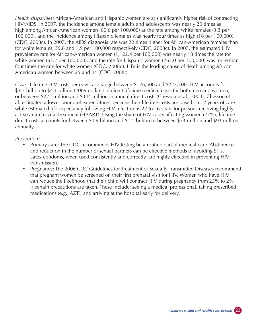*Health disparities:* African-American and Hispanic women are at significantly higher risk of contracting HIV/AIDS. In 2007, the incidence among female adults and adolescents was nearly 20 times as high among African-American women (60.6 per 100,000) as the rate among white females (3.3 per 100,000), and the incidence among Hispanic females was nearly four times as high (16 per 100,000) (CDC, 2008c). In 2007, the AIDS diagnosis rate was 22 times higher for African-American females than for white females, 39.8 and 1.9 per 100,000 respectively (CDC, 2008c). In 2007, the estimated HIV prevalence rate for African-American women (1,122.4 per 100,000) was nearly 18 times the rate for white women (62.7 per 100,000), and the rate for Hispanic women (263.0 per 100,000) was more than four times the rate for white women (CDC, 2008d). HIV is the leading cause of death among African-American women between 25 and 34 (CDC, 2008c).

*Costs:* Lifetime HIV costs per new case range between \$176,500 and \$223,300. HIV accounts for \$3.3 billion to \$4.1 billion (2009 dollars) in direct lifetime medical costs for both men and women, or between \$272 million and \$344 million in annual direct costs (Chesson et al., 2004). Chesson et al. estimated a lower bound of expenditures because their lifetime costs are based on 12 years of care while estimated life expectancy following HIV infection is 22 to 26 years for persons receiving highly active antiretroviral treatment (HAART). Using the share of HIV cases affecting women (27%), lifetime direct costs accounts for between \$0.9 billion and \$1.1 billion or between \$73 million and \$93 million annually.

#### *Prevention:*

- Primary care: The CDC recommends HIV testing be a routine part of medical care. Abstinence and reduction in the number of sexual partners can be effective methods of avoiding STIs. Latex condoms, when used consistently and correctly, are highly effective in preventing HIV transmission.
- Pregnancy: The 2006 CDC Guidelines for Treatment of Sexually Transmitted Diseases recommend that pregnant women be screened on their first prenatal visit for HIV. Women who have HIV can reduce the likelihood that their child will contract HIV during pregnancy from 25% to 2% if certain precautions are taken. These include: seeing a medical professional, taking prescribed medications (e.g., AZT), and arriving at the hospital early for delivery.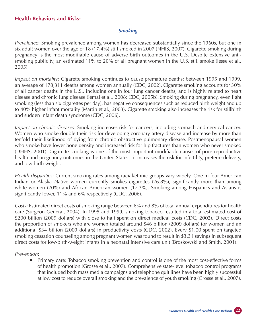## **Health Behaviors and Risks:**

#### *Smoking*

*Prevalence*: Smoking prevalence among women has decreased substantially since the 1960s, but one in six adult women over the age of 18 (17.4%) still smoked in 2007 (NHIS, 2007). Cigarette smoking during pregnancy is the most modifiable cause of adverse birth outcomes in the U.S. Despite extensive antismoking publicity, an estimated 11% to 20% of all pregnant women in the U.S. still smoke (Jesse et al., 2005).

*Impact on mortality*: Cigarette smoking continues to cause premature deaths: between 1995 and 1999, an average of 178,311 deaths among women annually (CDC, 2002). Cigarette smoking accounts for 30% of all cancer deaths in the U.S., including one in four lung cancer deaths, and is highly related to heart disease and chronic lung disease (Jemal et al., 2008; CDC, 2005b). Smoking during pregnancy, even light smoking (less than six cigarettes per day), has negative consequences such as reduced birth weight and up to 40% higher infant mortality (Martin et al., 2003). Cigarette smoking also increases the risk for stillbirth and sudden infant death syndrome (CDC, 2006).

*Impact on chronic diseases*: Smoking increases risk for cancers, including stomach and cervical cancer. Women who smoke double their risk for developing coronary artery disease and increase by more than tenfold their likelihood of dying from chronic obstructive pulmonary disease. Postmenopausal women who smoke have lower bone density and increased risk for hip fractures than women who never smoked (DHHS, 2001). Cigarette smoking is one of the most important modifiable causes of poor reproductive health and pregnancy outcomes in the United States - it increases the risk for infertility, preterm delivery, and low birth weight.

*Health disparities*: Current smoking rates among racial/ethnic groups vary widely. One in four American Indian or Alaska Native women currently smokes cigarettes (26.8%), significantly more than among white women (20%) and African American women (17.3%). Smoking among Hispanics and Asians is significantly lower, 11% and 6% respectively (CDC, 2006).

*Costs*: Estimated direct costs of smoking range between 6% and 8% of total annual expenditures for health care (Surgeon General, 2004). In 1995 and 1999, smoking tobacco resulted in a total estimated cost of \$200 billion (2009 dollars) with close to half spent on direct medical costs (CDC, 2002). Direct costs the proportion of smokers who are women totaled around \$46 billion (2009 dollars) for women and an additional \$34 billion (2009 dollars) in productivity costs (CDC, 2002). Every \$1.00 spent on targeted smoking cessation counseling among pregnant women was found to result in \$3.31 savings in subsequent direct costs for low-birth-weight infants in a neonatal intensive care unit (Broskowski and Smith, 2001).

#### *Prevention*:

 Primary care: Tobacco smoking prevention and control is one of the most cost-effective forms of health promotion (Grosse et al., 2007). Comprehensive state-level tobacco control programs that included both mass media campaigns and telephone quit lines have been highly successful at low cost to reduce overall smoking and the prevalence of youth smoking (Grosse et al., 2007).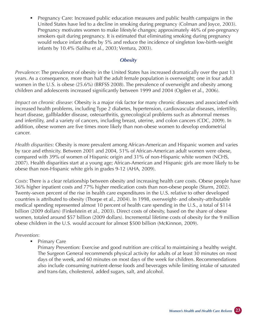Pregnancy Care: Increased public education measures and public health campaigns in the United States have led to a decline in smoking during pregnancy (Colman and Joyce, 2003). Pregnancy motivates women to make lifestyle changes; approximately 46% of pre-pregnancy smokers quit during pregnancy. It is estimated that eliminating smoking during pregnancy would reduce infant deaths by 5% and reduce the incidence of singleton low-birth-weight infants by 10.4% (Salihu et al., 2003; Ventura, 2003).

# *Obesity*

*Prevalence*: The prevalence of obesity in the United States has increased dramatically over the past 13 years. As a consequence, more than half the adult female population is overweight; one in four adult women in the U.S. is obese (25.6%) (BRFSS 2008). The prevalence of overweight and obesity among children and adolescents increased significantly between 1999 and 2004 (Ogden et al., 2006).

*Impact on chronic disease*: Obesity is a major risk factor for many chronic diseases and associated with increased health problems, including Type 2 diabetes, hypertension, cardiovascular diseases, infertility, heart disease, gallbladder disease, osteoarthritis, gynecological problems such as abnormal menses and infertility, and a variety of cancers, including breast, uterine, and colon cancers (CDC, 2009). In addition, obese women are five times more likely than non-obese women to develop endometrial cancer.

*Health disparities*: Obesity is more prevalent among African-American and Hispanic women and varies by race and ethnicity. Between 2001 and 2004, 51% of African-American adult women were obese, compared with 39% of women of Hispanic origin and 31% of non-Hispanic white women (NCHS, 2007). Health disparities start at a young age; African-American and Hispanic girls are more likely to be obese than non-Hispanic white girls in grades 9-12 (AHA, 2009).

*Costs*: There is a clear relationship between obesity and increasing health care costs. Obese people have 36% higher inpatient costs and 77% higher medication costs than non-obese people (Sturm, 2002). Twenty-seven percent of the rise in health care expenditures in the U.S. relative to other developed countries is attributed to obesity (Thorpe et al., 2004). In 1998, overweight- and obesity-attributable medical spending represented almost 10 percent of health care spending in the U.S., a total of \$114 billion (2009 dollars) (Finkelstein et al., 2003). Direct costs of obesity, based on the share of obese women, totaled around \$57 billion (2009 dollars). Incremental lifetime costs of obesity for the 9 million obese children in the U.S. would account for almost \$500 billion (McKinnon, 2009).

## *Prevention*:

 Primary Care

Primary Prevention: Exercise and good nutrition are critical to maintaining a healthy weight. The Surgeon General recommends physical activity for adults of at least 30 minutes on most days of the week, and 60 minutes on most days of the week for children. Recommendations also include consuming nutrient-dense foods and beverages while limiting intake of saturated and trans-fats, cholesterol, added sugars, salt, and alcohol.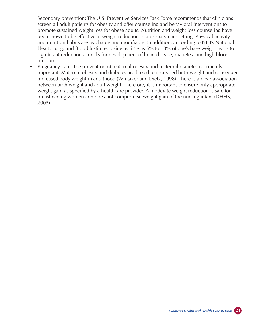Secondary prevention: The U.S. Preventive Services Task Force recommends that clinicians screen all adult patients for obesity and offer counseling and behavioral interventions to promote sustained weight loss for obese adults. Nutrition and weight loss counseling have been shown to be effective at weight reduction in a primary care setting. Physical activity and nutrition habits are teachable and modifiable. In addition, according to NIH's National Heart, Lung, and Blood Institute, losing as little as 5% to 10% of one's base weight leads to significant reductions in risks for development of heart disease, diabetes, and high blood pressure.

 Pregnancy care: The prevention of maternal obesity and maternal diabetes is critically important. Maternal obesity and diabetes are linked to increased birth weight and consequent increased body weight in adulthood (Whitaker and Dietz, 1998). There is a clear association between birth weight and adult weight. Therefore, it is important to ensure only appropriate weight gain as specified by a healthcare provider. A moderate weight reduction is safe for breastfeeding women and does not compromise weight gain of the nursing infant (DHHS, 2005).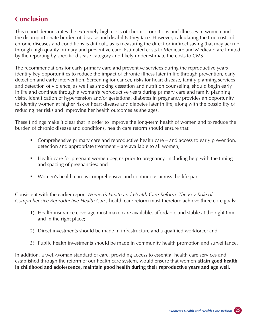# **Conclusion**

This report demonstrates the extremely high costs of chronic conditions and illnesses in women and the disproportionate burden of disease and disability they face. However, calculating the true costs of chronic diseases and conditions is difficult, as is measuring the direct or indirect saving that may accrue through high quality primary and preventive care. Estimated costs to Medicare and Medicaid are limited by the reporting by specific disease category and likely underestimate the costs to CMS.

The recommendations for early primary care and preventive services during the reproductive years identify key opportunities to reduce the impact of chronic illness later in life through prevention, early detection and early intervention. Screening for cancer, risks for heart disease, family planning services and detection of violence, as well as smoking cessation and nutrition counseling, should begin early in life and continue through a woman's reproductive years during primary care and family planning visits. Identification of hypertension and/or gestational diabetes in pregnancy provides an opportunity to identify women at higher risk of heart disease and diabetes later in life, along with the possibility of reducing her risks and improving her health outcomes as she ages.

These findings make it clear that in order to improve the long-term health of women and to reduce the burden of chronic disease and conditions, health care reform should ensure that:

- Comprehensive primary care and reproductive health care and access to early prevention, detection and appropriate treatment – are available to all women;
- Health care for pregnant women begins prior to pregnancy, including help with the timing and spacing of pregnancies; and
- Women's health care is comprehensive and continuous across the lifespan.

Consistent with the earlier report *Women's Heath and Health Care Reform: The Key Role of Comprehensive Reproductive Health Care*, health care reform must therefore achieve three core goals:

- 1) Health insurance coverage must make care available, affordable and stable at the right time and in the right place;
- 2) Direct investments should be made in infrastructure and a qualified workforce; and
- 3) Public health investments should be made in community health promotion and surveillance.

In addition, a well-woman standard of care, providing access to essential health care services and established through the reform of our health care system, would ensure that women **attain good health in childhood and adolescence, maintain good health during their reproductive years and age well**.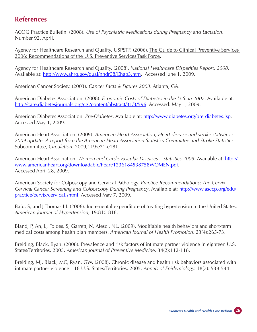# **References**

ACOG Practice Bulletin. (2008). *Use of Psychiatric Medications during Pregnancy and Lactation*. Number 92, April.

Agency for Healthcare Research and Quality, USPSTF. (2006). The Guide to Clinical Preventive Services 2006: Recommendations of the U.S. Preventive Services Task Force.

Agency for Healthcare Research and Quality. (2008). *National Healthcare Disparities Report, 2008*. Available at: http://www.ahrq.gov/qual/nhdr08/Chap3.htm. Accessed June 1, 2009.

American Cancer Society. (2003). *Cancer Facts & Figures 2003*. Atlanta, GA.

American Diabetes Association. (2008). *Economic Costs of Diabetes in the U.S. in 2007*. Available at: http://care.diabetesjournals.org/cgi/content/abstract/31/3/596. Accessed: May 1, 2009.

American Diabetes Association. *Pre-Diabetes*. Available at: http://www.diabetes.org/pre-diabetes.jsp. Accessed May 1, 2009.

American Heart Association. (2009). *American Heart Association, Heart disease and stroke statistics - 2009 update: A report from the American Heart Association Statistics Committee and Stroke Statistics* Subcommittee, *Circulation.* 2009;119:e21-e181.

American Heart Association. *Women and Cardiovascular Diseases – Statistics 2009*. Available at: http:// www.americanheart.org/downloadable/heart/1236184538758WOMEN.pdf. Accessed April 28, 2009.

American Society for Colposcopy and Cervical Pathology. *Practice Recommendations: The Cervix-Cervical Cancer Screening and Colposcopy During Pregnancy*. Available at: http://www.asccp.org/edu/ practice/cervix/cervical.shtml. Accessed May 7, 2009.

Balu, S, and J Thomas III. (2006). Incremental expenditure of treating hypertension in the United States. *American Journal of Hypertension*; 19:810-816.

Bland, P, An, L, Foldes, S, Garrett, N, Alesci, NL. (2009). Modifiable health behaviors and short-term medical costs among health plan members. *American Journal of Health Promotion*. 23(4):265-73.

Breiding, Black, Ryan. (2008). Prevalence and risk factors of intimate partner violence in eighteen U.S. States/Territories, 2005. *American Journal of Preventive Medicine,* 34(2):112-118.

Breiding, MJ, Black, MC, Ryan, GW. (2008). Chronic disease and health risk behaviors associated with intimate partner violence—18 U.S. States/Territories, 2005. *Annals of Epidemiology.* 18(7): 538-544.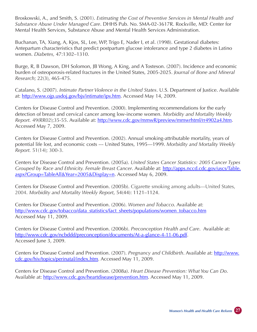Broskowski, A., and Smith, S. (2001). *Estimating the Cost of Preventive Services in Mental Health and Substance Abuse Under Managed Care*. DHHS Pub. No. SMA-02-3617R. Rockville, MD: Center for Mental Health Services, Substance Abuse and Mental Health Services Administration.

Buchanan, TA, Xiang, A, Kjos, SL, Lee, WP, Trigo E, Nader I, et al. (1998). Gestational diabetes: Antepartum characteristics that predict postpartum glucose intolerance and type 2 diabetes in Latino women. *Diabetes,* 47:1302–1310.

Burge, R, B Dawson, DH Solomon, JB Wong, A King, and A Tosteson. (2007). Incidence and economic burden of osteoporosis-related fractures in the United States, 2005-2025. *Journal of Bone and Mineral Research*; 22(3), 465-475.

Catalano, S. (2007). *Intimate Partner Violence in the United States*. U.S. Department of Justice. Available at: http://www.ojp.usdoj.gov/bjs/intimate/ipv.htm. Accessed May 14, 2009.

Centers for Disease Control and Prevention. (2000). Implementing recommendations for the early detection of breast and cervical cancer among low-income women. *Morbidity and Mortality Weekly Report.* 49(RR02);35-55. Available at: http://www.cdc.gov/mmwR/preview/mmwrhtml/rr4902a4.htm. Accessed May 7, 2009.

Centers for Disease Control and Prevention. (2002). Annual smoking-attributable mortality, years of potential life lost, and economic costs --- United States, 1995—1999. *Morbidity and Mortality Weekly Report.* 51(14); 300-3.

Centers for Disease Control and Prevention. (2005a). *United States Cancer Statistics: 2005 Cancer Types Grouped by Race and Ethnicity. Female Breast Cancer*. Available at: http://apps.nccd.cdc.gov/uscs/Table. aspx?Group=TableAll&Year=2005&Display=n. Accessed May 6, 2009.

Centers for Disease Control and Prevention. (2005b). Cigarette smoking among adults—United States, 2004. *Morbidity and Mortality Weekly Report*, 54(44): 1121–1124.

Centers for Disease Control and Prevention. (2006). *Women and Tobacco*. Available at: http://www.cdc.gov/tobacco/data\_statistics/fact\_sheets/populations/women\_tobacco.htm Accessed May 11, 2009.

Centers for Disease Control and Prevention. (2006b). *Preconception Health and Care*. Available at: http://www.cdc.gov/ncbddd/preconception/documents/At-a-glance-4-11-06.pdf. Accessed June 3, 2009.

Centers for Disease Control and Prevention. (2007). *Pregnancy and Childbirth*. Available at: http://www. cdc.gov/hiv/topics/perinatal/index.htm. Accessed May 11, 2009.

Centers for Disease Control and Prevention. (2008a). *Heart Disease Prevention: What You Can Do*. Available at: http://www.cdc.gov/heartdisease/prevention.htm. Accessed May 11, 2009.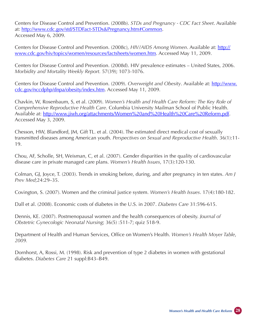Centers for Disease Control and Prevention. (2008b). *STDs and Pregnancy - CDC Fact Sheet*. Available at: http://www.cdc.gov/std/STDFact-STDs&Pregnancy.htm#Common. Accessed May 6, 2009.

Centers for Disease Control and Prevention. (2008c), *HIV/AIDS Among Women*. Available at: http:// www.cdc.gov/hiv/topics/women/resources/factsheets/women.htm. Accessed May 11, 2009.

Centers for Disease Control and Prevention. (2008d). HIV prevalence estimates – United States, 2006. *Morbidity and Mortality Weekly Report.* 57(39); 1073-1076.

Centers for Disease Control and Prevention. (2009). *Overweight and Obesity*. Available at: http://www. cdc.gov/nccdphp/dnpa/obesity/index.htm. Accessed May 11, 2009.

Chavkin, W, Rosenbaum, S, et al. (2009). *Women's Health and Health Care Reform: The Key Role of Comprehensive Reproductive Health Care*. Columbia University Mailman School of Public Health. Available at: http://www.jiwh.org/attachments/Women%20and%20Health%20Care%20Reform.pdf. Accessed May 3, 2009.

Chesson, HW, Blandford, JM, Gift TL. et al. (2004). The estimated direct medical cost of sexually transmitted diseases among American youth. *Perspectives on Sexual and Reproductive Health*. 36(1):11- 19.

Chou, AF, Scholle, SH, Weisman, C, et al. (2007). Gender disparities in the quality of cardiovascular disease care in private managed care plans. *Women's Health Issues*, 17(3):120-130.

Colman, GJ, Joyce, T. (2003). Trends in smoking before, during, and after pregnancy in ten states. *Am J Prev Med*;24:29–35.

Covington, S. (2007). Women and the criminal justice system. *Women's Health Issues*. 17(4):180-182.

Dall et al. (2008). Economic costs of diabetes in the U.S. in 2007. *Diabetes Care* 31:596-615.

Dennis, KE. (2007). Postmenopausal women and the health consequences of obesity. *Journal of Obstetric Gynecologic Neonatal Nursing*; 36(5) :511-7; quiz 518-9.

Department of Health and Human Services, Office on Women's Health. *Women's Health Moyer Table*, *2009.*

Dornhorst, A, Rossi, M. (1998). Risk and prevention of type 2 diabetes in women with gestational diabetes. *Diabetes Care* 21 suppl:B43–B49.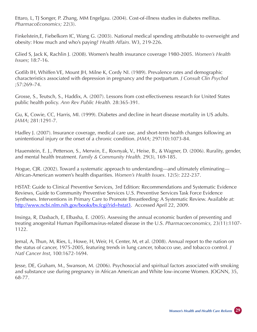Ettaro, L, TJ Songer, P. Zhang, MM Engelgau. (2004). Cost-of-illness studies in diabetes mellitus. *PharmacoEconomics;* 22(3).

Finkelstein,E, Fiebelkorn IC, Wang G. (2003). National medical spending attributable to overweight and obesity: How much and who's paying? *Health Affairs.* W3, 219-226.

Glied S, Jack K, Rachlin J. (2008). Women's health insurance coverage 1980-2005. *Women's Health Issues*; 18:7-16.

Gotlib IH, Whiffen VE, Mount JH, Milne K, Cordy NI. (1989). Prevalence rates and demographic characteristics associated with depression in pregnancy and the postpartum. *J Consult Clin Psychol* ;57:269–74.

Grosse, S., Teutsch, S., Haddix, A. (2007). Lessons from cost-effectiveness research for United States public health policy. *Ann Rev Public Health.* 28:365-391.

Gu, K, Cowie, CC, Harris, MI. (1999). Diabetes and decline in heart disease mortality in US adults. *JAMA*; 281:1291-7.

Hadley J. (2007). Insurance coverage, medical care use, and short-term health changes following an unintentional injury or the onset of a chronic condition. *JAMA*; 297(10):1073-84.

Hauenstein, E. J., Petterson, S., Merwin, E., Rovnyak, V., Heise, B., & Wagner, D. (2006). Rurality, gender, and mental health treatment. *Family & Community Health.* 29(3), 169-185.

Hogue, CJR. (2002). Toward a systematic approach to understanding—and ultimately eliminating— African-American women's health disparities. *Women's Health Issues*. 12(5): 222-237.

HSTAT: Guide to Clinical Preventive Services, 3rd Edition: Recommendations and Systematic Evidence Reviews, Guide to Community Preventive Services U.S. Preventive Services Task Force Evidence Syntheses. Interventions in Primary Care to Promote Breastfeeding: A Systematic Review. Available at: http://www.ncbi.nlm.nih.gov/books/bv.fcgi?rid=hstat3. Accessed April 22, 2009.

Insinga, R, Dasbach, E, Elbasha, E. (2005). Assessing the annual economic burden of preventing and treating anogenital Human Papillomavirus-related disease in the U.S. *Pharmacoeconomics,* 23(11):1107- 1122.

Jemal, A, Thun, M, Ries, L, Howe, H, Weir, H, Center, M, et al. (2008). Annual report to the nation on the status of cancer, 1975-2005, featuring trends in lung cancer, tobacco use, and tobacco control. *J Natl Cancer Inst*, 100:1672-1694.

Jesse, DE, Graham, M., Swanson, M. (2006). Psychosocial and spiritual factors associated with smoking and substance use during pregnancy in African American and White low-income Women. JOGNN, 35, 68-77.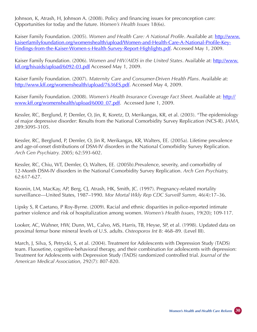Johnson, K, Atrash, H, Johnson A. (2008). Policy and financing issues for preconception care: Opportunities for today and the future. *Women's Health Issues* 18(6s).

Kaiser Family Foundation. (2005). *Women and Health Care: A National Profile*. Available at: http://www. kaiserfamilyfoundation.org/womenshealth/upload/Women-and-Health-Care-A-National-Profile-Key-Findings-from-the-Kaiser-Women-s-Health-Survey-Report-Highlights.pdf. Accessed May 1, 2009.

Kaiser Family Foundation. (2006). *Women and HIV/AIDS in the United States*. Available at: http://www. kff.org/hivaids/upload/6092-03.pdf Accessed May 1, 2009.

Kaiser Family Foundation. (2007). *Maternity Care and Consumer-Driven Health Plans*. Available at: http://www.kff.org/womenshealth/upload/7636ES.pdf. Accessed May 4, 2009.

Kaiser Family Foundation. (2008). *Women's Health Insurance Coverage Fact Sheet*. Available at: http:// www.kff.org/womenshealth/upload/6000\_07.pdf. Accessed June 1, 2009.

Kessler, RC, Berglund, P, Demler, O, Jin, R, Koretz, D, Merikangas, KR, et al. (2003). "The epidemiology of major depressive disorder: Results from the National Comorbidity Survey Replication (NCS-R). *JAMA*, 289:3095-3105.

Kessler, RC, Berglund, P, Demler, O, Jin R, Merikangas, KR, Walters, EE. (2005a). Lifetime prevalence and age-of-onset distributions of DSM-IV disorders in the National Comorbidity Survey Replication. *Arch Gen Psychiatry.* 2005; 62:593-602.

Kessler, RC, Chiu, WT, Demler, O, Walters, EE. (2005b).Prevalence, severity, and comorbidity of 12-Month DSM-IV disorders in the National Comorbidity Survey Replication. *Arch Gen Psychiatry,* 62:617-627.

Koonin, LM, MacKay, AP, Berg, CJ, Atrash, HK, Smith, JC. (1997). Pregnancy-related mortality surveillance—United States, 1987–1990. *Mor Mortal Wkly Rep CDC Surveill Summ,* 46(4):17–36.

Lipsky S, R Caetano, P Roy-Byrne. (2009). Racial and ethnic disparities in police-reported intimate partner violence and risk of hospitalization among women. *Women's Health Issues*, 19(20); 109-117.

Looker, AC, Wahner, HW, Dunn, WL, Calvo, MS, Harris, TB, Heyse, SP, et al. (1998). Updated data on proximal femur bone mineral levels of U.S. adults. *Osteoporos Int* 8: 468–89. (Level III).

March, J, Silva, S, Petrycki, S, et al. (2004). Treatment for Adolescents with Depression Study (TADS) team. Fluoxetine, cognitive-behavioral therapy, and their combination for adolescents with depression: Treatment for Adolescents with Depression Study (TADS) randomized controlled trial. *Journal of the American Medical Association*, 292(7): 807-820.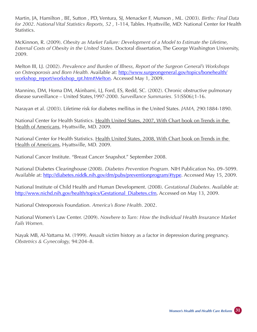Martin, JA, Hamilton , BE, Sutton , PD, Ventura, SJ, Menacker F, Munson , ML. (2003). *Births: Final Data for 2002*. *National Vital Statistics Reports, 52* , 1-114, Tables. Hyattsville, MD: National Center for Health Statistics.

McKinnon, R. (2009). *Obesity as Market Failure: Development of a Model to Estimate the Lifetime, External Costs of Obesity in the United States.* Doctoral dissertation, The George Washington University, 2009.

Melton III, LJ. (2002). *Prevalence and Burden of Illness, Report of the Surgeon General's Workshops on Osteoporosis and Born Health.* Available at: http://www.surgeongeneral.gov/topics/bonehealth/ workshop\_report/workshop\_rpt.htm#Melton. Accessed May 1, 2009.

Mannino, DM, Homa DM, Akinbami, LJ, Ford, ES, Redd, SC. (2002). Chronic obstructive pulmonary disease surveillance – United States,1997-2000. *Surveillance Summaries.* 51(SS06);1-16.

Narayan et al. (2003). Lifetime risk for diabetes mellitus in the United States. *JAMA,* 290:1884-1890.

National Center for Health Statistics. Health United States, 2007, With Chart book on Trends in the Health of Americans, Hyattsville, MD. 2009.

National Center for Health Statistics. Health United States, 2008, With Chart book on Trends in the Health of Americans, Hyattsville, MD. 2009.

National Cancer Institute. "Breast Cancer Snapshot." September 2008.

National Diabetes Clearinghouse (2008). *Diabetes Prevention Program*. NIH Publication No. 09–5099. Available at: http://diabetes.niddk.nih.gov/dm/pubs/preventionprogram/#type. Accessed May 15, 2009.

National Institute of Child Health and Human Development. (2008). *Gestational Diabetes*. Available at: http://www.nichd.nih.gov/health/topics/Gestational\_Diabetes.cfm, Accessed on May 13, 2009.

National Osteoporosis Foundation. *America's Bone Health*. 2002.

National Women's Law Center. (2009). *Nowhere to Turn: How the Individual Health Insurance Market Fails Women.*

Nayak MB, Al-Yattama M. (1999). Assault victim history as a factor in depression during pregnancy. *Obstetrics & Gynecology,* 94:204–8.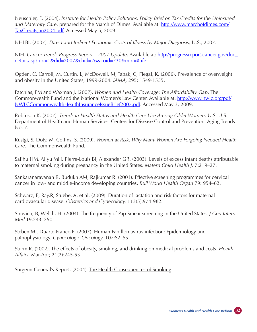Neuschler, E. (2004). *Institute for Health Policy Solutions, Policy Brief on Tax Credits for the Uninsured and Maternity Care*, prepared for the March of Dimes. Available at: http://www.marchofdimes.com/ TaxCreditsJan2004.pdf. Accessed May 5, 2009.

NHLBI. (2007). *Direct and Indirect Economic Costs of Illness by Major Diagnosis,* U.S., 2007.

NIH. *Cancer Trends Progress Report – 2007 Update*. Available at: http://progressreport.cancer.gov/doc\_ detail.asp?pid=1&did=2007&chid=76&coid=730&mid=#life.

Ogden, C, Carroll, M, Curtin, L, McDowell, M, Tabak, C, Flegal, K. (2006). Prevalence of overweight and obesity in the United States, 1999-2004. *JAMA,* 295: 1549-1555.

Patchias, EM and Waxman J. (2007). *Women and Health Coverage: The Affordability Gap*. The Commonwealth Fund and the National Women's Law Center. Available at: http://www.nwlc.org/pdf/ NWLCCommonwealthHealthInsuranceIssueBrief2007.pdf. Accessed May 3, 2009.

Robinson K. (2007). *Trends in Health Status and Health Care Use Among Older Women*. U.S. U.S. Department of Health and Human Services. Centers for Disease Control and Prevention. Aging Trends No. 7.

Rustgi, S, Doty, M, Collins, S. (2009). *Women at Risk: Why Many Women Are Forgoing Needed Health Care*. The Commonwealth Fund*.*

Salihu HM, Aliyu MH, Pierre-Louis BJ, Alexander GR. (2003). Levels of excess infant deaths attributable to maternal smoking during pregnancy in the United States. *Matern Child Health J,* 7:219–27.

Sankaranarayanan R, Budukh AM, Rajkumar R. (2001). Effective screening programmes for cervical cancer in low- and middle-income developing countries. *Bull World Health Organ* 79: 954–62.

Schwarz, E, Ray,R, Stuebe, A, et al. (2009). Duration of lactation and risk factors for maternal cardiovascular disease. *Obstetrics and Gynecology.* 113(5):974-982*.*

Sirovich, B, Welch, H. (2004). The frequency of Pap Smear screening in the United States. *J Gen Intern Med.*19:243–250.

Steben M., Duarte-Franco E. (2007). Human Papillomavirus infection: Epidemiology and pathophysiology. *Gynecologic Oncology.* 107:S2–S5.

Sturm R. (2002). The effects of obesity, smoking, and drinking on medical problems and costs. *Health Affairs*. Mar-Apr; 21(2):245-53.

Surgeon General's Report. (2004). The Health Consequences of Smoking.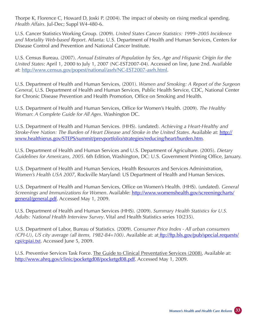Thorpe K, Florence C, Howard D, Joski P. (2004). The impact of obesity on rising medical spending. *Health Affairs.* Jul-Dec; Suppl W4-480-6.

U.S. Cancer Statistics Working Group. (2009). *United States Cancer Statistics: 1999–2005 Incidence and Mortality Web-based Report*. Atlanta: U.S. Department of Health and Human Services, Centers for Disease Control and Prevention and National Cancer Institute.

U.S. Census Bureau. (2007). *Annual Estimates of Population by Sex, Age and Hispanic Origin for the United States*: April 1, 2000 to July 1, 2007 (NC-EST2007-04). Accessed on line, June 2nd. Available at: http://www.census.gov/popest/national/asrh/NC-EST2007-asrh.html.

U.S. Department of Health and Human Services, (2001). *Women and Smoking: A Report of the Surgeon General*, U.S. Department of Health and Human Services, Public Health Service, CDC, National Center for Chronic Disease Prevention and Health Promotion, Office on Smoking and Health.

U.S. Department of Health and Human Services, Office for Women's Health. (2009). *The Healthy Woman*: *A Complete Guide for All Ages*. Washington DC.

U.S. Department of Health and Human Services. (HHS). (undated). *Achieving a Heart-Healthy and Stroke-Free Nation: The Burden of Heart Disease and Stroke in the United States*. Available at: http:// www.healthierus.gov/STEPS/summit/prevportfolio/strategies/reducing/heart/burden.htm.

U.S. Department of Health and Human Services and U.S. Department of Agriculture. (2005). *Dietary Guidelines for Americans, 2005*. 6th Edition, Washington, DC: U.S. Government Printing Office, January.

U.S. Department of Health and Human Services, Health Resources and Services Administration, *Women's Health USA 2007*, Rockville Maryland: US Department of Health and Human Services.

U.S. Department of Health and Human Services, Office on Women's Health. (HHS). (undated). *General Screenings and Immunizations for Women*. Available: http://www.womenshealth.gov/screeningcharts/ general/general.pdf. Accessed May 1, 2009.

U.S. Department of Health and Human Services (HHS). (2009). *Summary Health Statistics for U.S. Adults: National Health Interview Survey*. Vital and Health Statistics series 10(235).

U.S. Department of Labor, Bureau of Statistics. (2009). *Consumer Price Index - All urban consumers (CPI-U), US city average (all items, 1982-84=100)*. Available at: at ftp://ftp.bls.gov/pub/special.requests/ cpi/cpiai.txt. Accessed June 5, 2009.

U.S. Preventive Services Task Force. The Guide to Clinical Preventative Services (2008), Available at: http://www.ahrq.gov/clinic/pocketgd08/pocketgd08.pdf. Accessed May 1, 2009.